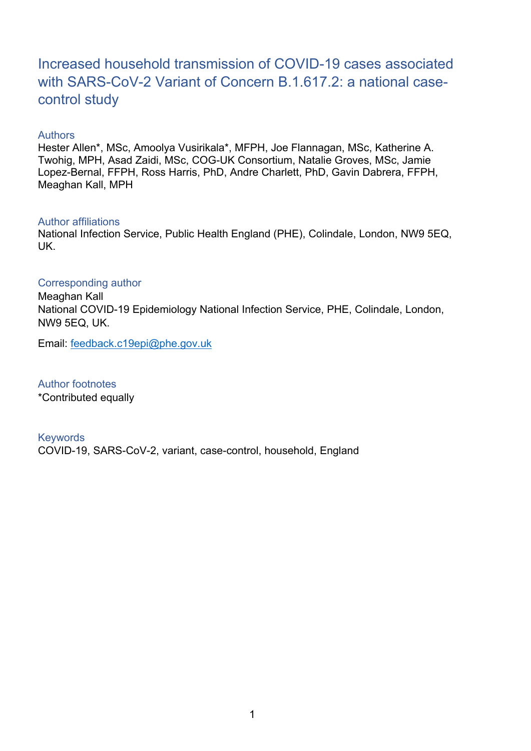# Increased household transmission of COVID-19 cases associated with SARS-CoV-2 Variant of Concern B.1.617.2: a national casecontrol study

#### **Authors**

Hester Allen\*, MSc, Amoolya Vusirikala\*, MFPH, Joe Flannagan, MSc, Katherine A. Twohig, MPH, Asad Zaidi, MSc, COG-UK Consortium, Natalie Groves, MSc, Jamie Lopez-Bernal, FFPH, Ross Harris, PhD, Andre Charlett, PhD, Gavin Dabrera, FFPH, Meaghan Kall, MPH

#### Author affiliations

National Infection Service, Public Health England (PHE), Colindale, London, NW9 5EQ, UK.

#### Corresponding author

Meaghan Kall National COVID-19 Epidemiology National Infection Service, PHE, Colindale, London, NW9 5EQ, UK.

Email: [feedback.c19epi@phe.gov.uk](mailto:feedback.c19epi@phe.gov.uk)

Author footnotes \*Contributed equally

Keywords COVID-19, SARS-CoV-2, variant, case-control, household, England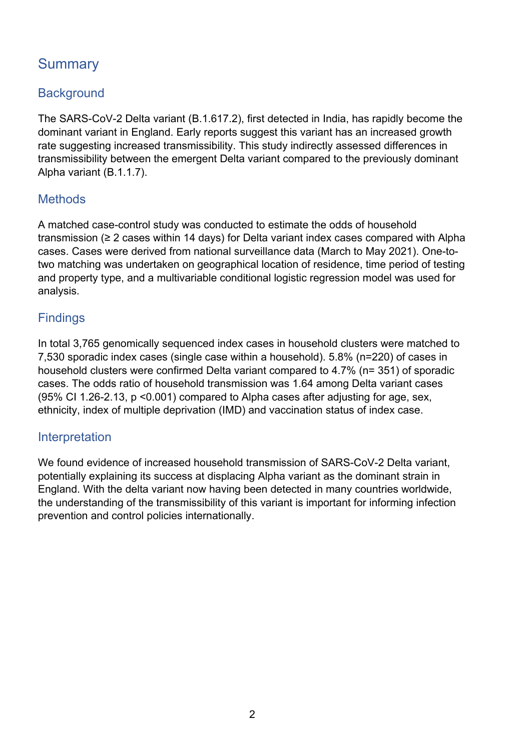# **Summary**

### **Background**

The SARS-CoV-2 Delta variant (B.1.617.2), first detected in India, has rapidly become the dominant variant in England. Early reports suggest this variant has an increased growth rate suggesting increased transmissibility. This study indirectly assessed differences in transmissibility between the emergent Delta variant compared to the previously dominant Alpha variant (B.1.1.7).

### **Methods**

A matched case-control study was conducted to estimate the odds of household transmission (≥ 2 cases within 14 days) for Delta variant index cases compared with Alpha cases. Cases were derived from national surveillance data (March to May 2021). One-totwo matching was undertaken on geographical location of residence, time period of testing and property type, and a multivariable conditional logistic regression model was used for analysis.

### **Findings**

In total 3,765 genomically sequenced index cases in household clusters were matched to 7,530 sporadic index cases (single case within a household). 5.8% (n=220) of cases in household clusters were confirmed Delta variant compared to 4.7% (n= 351) of sporadic cases. The odds ratio of household transmission was 1.64 among Delta variant cases (95% CI 1.26-2.13, p <0.001) compared to Alpha cases after adjusting for age, sex, ethnicity, index of multiple deprivation (IMD) and vaccination status of index case.

### Interpretation

We found evidence of increased household transmission of SARS-CoV-2 Delta variant, potentially explaining its success at displacing Alpha variant as the dominant strain in England. With the delta variant now having been detected in many countries worldwide, the understanding of the transmissibility of this variant is important for informing infection prevention and control policies internationally.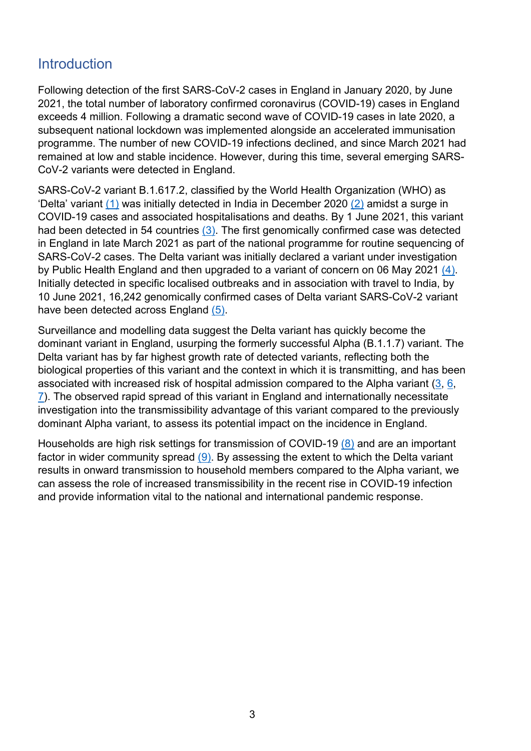## **Introduction**

Following detection of the first SARS-CoV-2 cases in England in January 2020, by June 2021, the total number of laboratory confirmed coronavirus (COVID-19) cases in England exceeds 4 million. Following a dramatic second wave of COVID-19 cases in late 2020, a subsequent national lockdown was implemented alongside an accelerated immunisation programme. The number of new COVID-19 infections declined, and since March 2021 had remained at low and stable incidence. However, during this time, several emerging SARS-CoV-2 variants were detected in England.

SARS-CoV-2 variant B.1.617.2, classified by the World Health Organization (WHO) as 'Delta' variant [\(1\)](#page-20-0) was initially detected in India in December 2020 [\(2\)](#page-20-1) amidst a surge in COVID-19 cases and associated hospitalisations and deaths. By 1 June 2021, this variant had been detected in 54 countries [\(3\).](#page-20-2) The first genomically confirmed case was detected in England in late March 2021 as part of the national programme for routine sequencing of SARS-CoV-2 cases. The Delta variant was initially declared a variant under investigation by Public Health England and then upgraded to a variant of concern on 06 May 2021 [\(4\)](#page-20-3). Initially detected in specific localised outbreaks and in association with travel to India, by 10 June 2021, 16,242 genomically confirmed cases of Delta variant SARS-CoV-2 variant have been detected across England [\(5\).](#page-20-4)

Surveillance and modelling data suggest the Delta variant has quickly become the dominant variant in England, usurping the formerly successful Alpha (B.1.1.7) variant. The Delta variant has by far highest growth rate of detected variants, reflecting both the biological properties of this variant and the context in which it is transmitting, and has been associated with increased risk of hospital admission compared to the Alpha variant [\(3,](#page-20-2) [6,](#page-20-5) [7\)](#page-20-6). The observed rapid spread of this variant in England and internationally necessitate investigation into the transmissibility advantage of this variant compared to the previously dominant Alpha variant, to assess its potential impact on the incidence in England.

Households are high risk settings for transmission of COVID-19 [\(8\)](#page-20-7) and are an important factor in wider community spread [\(9\).](#page-20-8) By assessing the extent to which the Delta variant results in onward transmission to household members compared to the Alpha variant, we can assess the role of increased transmissibility in the recent rise in COVID-19 infection and provide information vital to the national and international pandemic response.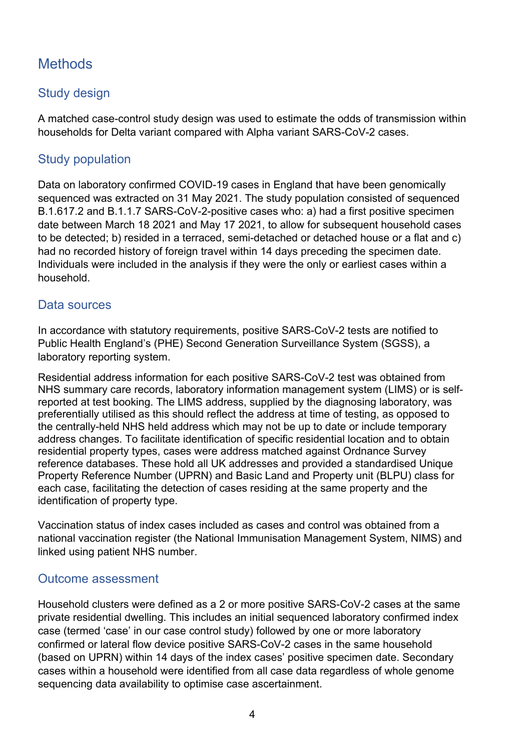# **Methods**

### Study design

A matched case-control study design was used to estimate the odds of transmission within households for Delta variant compared with Alpha variant SARS-CoV-2 cases.

### Study population

Data on laboratory confirmed COVID-19 cases in England that have been genomically sequenced was extracted on 31 May 2021. The study population consisted of sequenced B.1.617.2 and B.1.1.7 SARS-CoV-2-positive cases who: a) had a first positive specimen date between March 18 2021 and May 17 2021, to allow for subsequent household cases to be detected; b) resided in a terraced, semi-detached or detached house or a flat and c) had no recorded history of foreign travel within 14 days preceding the specimen date. Individuals were included in the analysis if they were the only or earliest cases within a household.

#### Data sources

In accordance with statutory requirements, positive SARS-CoV-2 tests are notified to Public Health England's (PHE) Second Generation Surveillance System (SGSS), a laboratory reporting system.

Residential address information for each positive SARS-CoV-2 test was obtained from NHS summary care records, laboratory information management system (LIMS) or is selfreported at test booking. The LIMS address, supplied by the diagnosing laboratory, was preferentially utilised as this should reflect the address at time of testing, as opposed to the centrally-held NHS held address which may not be up to date or include temporary address changes. To facilitate identification of specific residential location and to obtain residential property types, cases were address matched against Ordnance Survey reference databases. These hold all UK addresses and provided a standardised Unique Property Reference Number (UPRN) and Basic Land and Property unit (BLPU) class for each case, facilitating the detection of cases residing at the same property and the identification of property type.

Vaccination status of index cases included as cases and control was obtained from a national vaccination register (the National Immunisation Management System, NIMS) and linked using patient NHS number.

### Outcome assessment

Household clusters were defined as a 2 or more positive SARS-CoV-2 cases at the same private residential dwelling. This includes an initial sequenced laboratory confirmed index case (termed 'case' in our case control study) followed by one or more laboratory confirmed or lateral flow device positive SARS-CoV-2 cases in the same household (based on UPRN) within 14 days of the index cases' positive specimen date. Secondary cases within a household were identified from all case data regardless of whole genome sequencing data availability to optimise case ascertainment.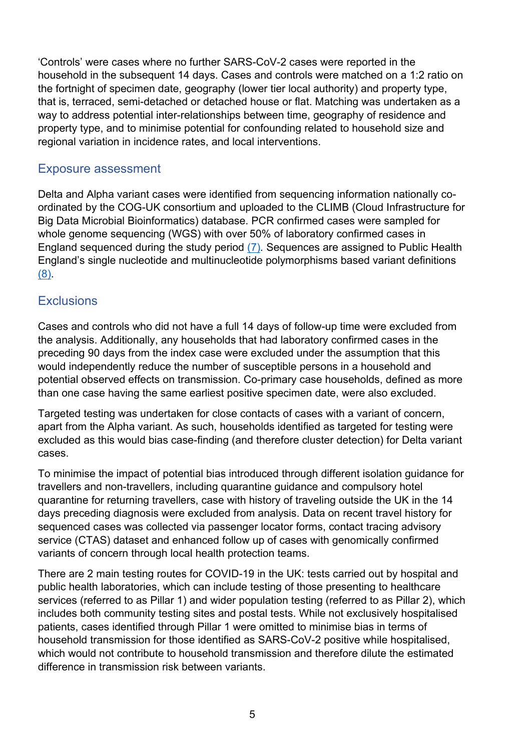'Controls' were cases where no further SARS-CoV-2 cases were reported in the household in the subsequent 14 days. Cases and controls were matched on a 1:2 ratio on the fortnight of specimen date, geography (lower tier local authority) and property type, that is, terraced, semi-detached or detached house or flat. Matching was undertaken as a way to address potential inter-relationships between time, geography of residence and property type, and to minimise potential for confounding related to household size and regional variation in incidence rates, and local interventions.

#### Exposure assessment

Delta and Alpha variant cases were identified from sequencing information nationally coordinated by the COG-UK consortium and uploaded to the CLIMB (Cloud Infrastructure for Big Data Microbial Bioinformatics) database. PCR confirmed cases were sampled for whole genome sequencing (WGS) with over 50% of laboratory confirmed cases in England sequenced during the study period [\(7\)](#page-20-6)*.* Sequences are assigned to Public Health England's single nucleotide and multinucleotide polymorphisms based variant definitions [\(8\)](#page-20-7).

### **Exclusions**

Cases and controls who did not have a full 14 days of follow-up time were excluded from the analysis. Additionally, any households that had laboratory confirmed cases in the preceding 90 days from the index case were excluded under the assumption that this would independently reduce the number of susceptible persons in a household and potential observed effects on transmission. Co-primary case households, defined as more than one case having the same earliest positive specimen date, were also excluded.

Targeted testing was undertaken for close contacts of cases with a variant of concern, apart from the Alpha variant. As such, households identified as targeted for testing were excluded as this would bias case-finding (and therefore cluster detection) for Delta variant cases.

To minimise the impact of potential bias introduced through different isolation guidance for travellers and non-travellers, including quarantine guidance and compulsory hotel quarantine for returning travellers, case with history of traveling outside the UK in the 14 days preceding diagnosis were excluded from analysis. Data on recent travel history for sequenced cases was collected via passenger locator forms, contact tracing advisory service (CTAS) dataset and enhanced follow up of cases with genomically confirmed variants of concern through local health protection teams.

There are 2 main testing routes for COVID-19 in the UK: tests carried out by hospital and public health laboratories, which can include testing of those presenting to healthcare services (referred to as Pillar 1) and wider population testing (referred to as Pillar 2), which includes both community testing sites and postal tests. While not exclusively hospitalised patients, cases identified through Pillar 1 were omitted to minimise bias in terms of household transmission for those identified as SARS-CoV-2 positive while hospitalised, which would not contribute to household transmission and therefore dilute the estimated difference in transmission risk between variants.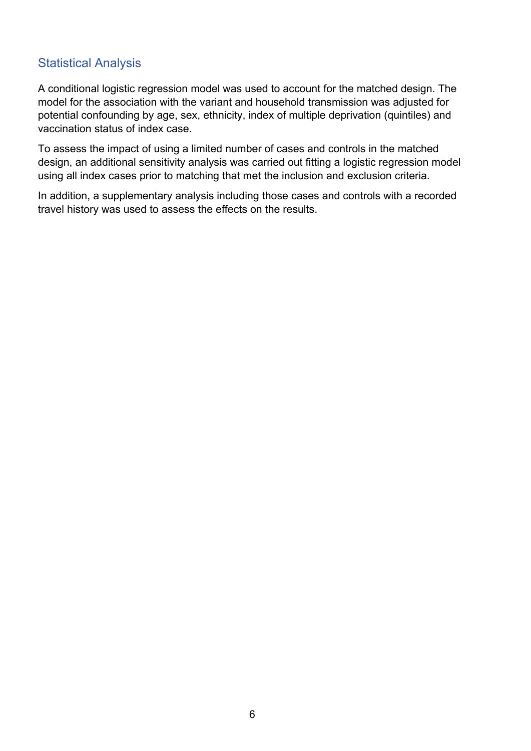#### Statistical Analysis

A conditional logistic regression model was used to account for the matched design. The model for the association with the variant and household transmission was adjusted for potential confounding by age, sex, ethnicity, index of multiple deprivation (quintiles) and vaccination status of index case.

To assess the impact of using a limited number of cases and controls in the matched design, an additional sensitivity analysis was carried out fitting a logistic regression model using all index cases prior to matching that met the inclusion and exclusion criteria.

In addition, a supplementary analysis including those cases and controls with a recorded travel history was used to assess the effects on the results.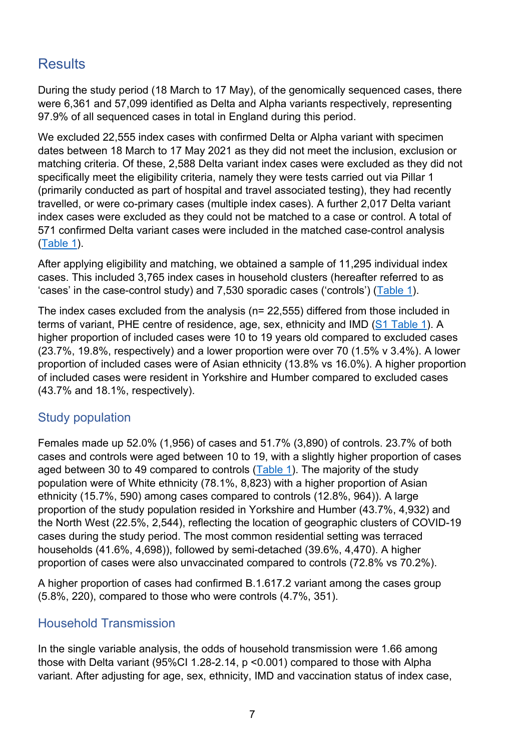## **Results**

During the study period (18 March to 17 May), of the genomically sequenced cases, there were 6,361 and 57,099 identified as Delta and Alpha variants respectively, representing 97.9% of all sequenced cases in total in England during this period.

We excluded 22,555 index cases with confirmed Delta or Alpha variant with specimen dates between 18 March to 17 May 2021 as they did not meet the inclusion, exclusion or matching criteria. Of these, 2,588 Delta variant index cases were excluded as they did not specifically meet the eligibility criteria, namely they were tests carried out via Pillar 1 (primarily conducted as part of hospital and travel associated testing), they had recently travelled, or were co-primary cases (multiple index cases). A further 2,017 Delta variant index cases were excluded as they could not be matched to a case or control. A total of 571 confirmed Delta variant cases were included in the matched case-control analysis [\(Table 1\)](#page-10-0).

After applying eligibility and matching, we obtained a sample of 11,295 individual index cases. This included 3,765 index cases in household clusters (hereafter referred to as 'cases' in the case-control study) and 7,530 sporadic cases ('controls') [\(Table 1\)](#page-10-0).

The index cases excluded from the analysis (n= 22,555) differed from those included in terms of variant, PHE centre of residence, age, sex, ethnicity and IMD ([S1 Table 1\)](#page-14-0). A higher proportion of included cases were 10 to 19 years old compared to excluded cases (23.7%, 19.8%, respectively) and a lower proportion were over 70 (1.5% v 3.4%). A lower proportion of included cases were of Asian ethnicity (13.8% vs 16.0%). A higher proportion of included cases were resident in Yorkshire and Humber compared to excluded cases (43.7% and 18.1%, respectively).

### Study population

Females made up 52.0% (1,956) of cases and 51.7% (3,890) of controls. 23.7% of both cases and controls were aged between 10 to 19, with a slightly higher proportion of cases aged between 30 to 49 compared to controls [\(Table 1\)](#page-10-0). The majority of the study population were of White ethnicity (78.1%, 8,823) with a higher proportion of Asian ethnicity (15.7%, 590) among cases compared to controls (12.8%, 964)). A large proportion of the study population resided in Yorkshire and Humber (43.7%, 4,932) and the North West (22.5%, 2,544), reflecting the location of geographic clusters of COVID-19 cases during the study period. The most common residential setting was terraced households (41.6%, 4,698)), followed by semi-detached (39.6%, 4,470). A higher proportion of cases were also unvaccinated compared to controls (72.8% vs 70.2%).

A higher proportion of cases had confirmed B.1.617.2 variant among the cases group (5.8%, 220), compared to those who were controls (4.7%, 351).

### Household Transmission

In the single variable analysis, the odds of household transmission were 1.66 among those with Delta variant (95%CI 1.28-2.14, p <0.001) compared to those with Alpha variant. After adjusting for age, sex, ethnicity, IMD and vaccination status of index case,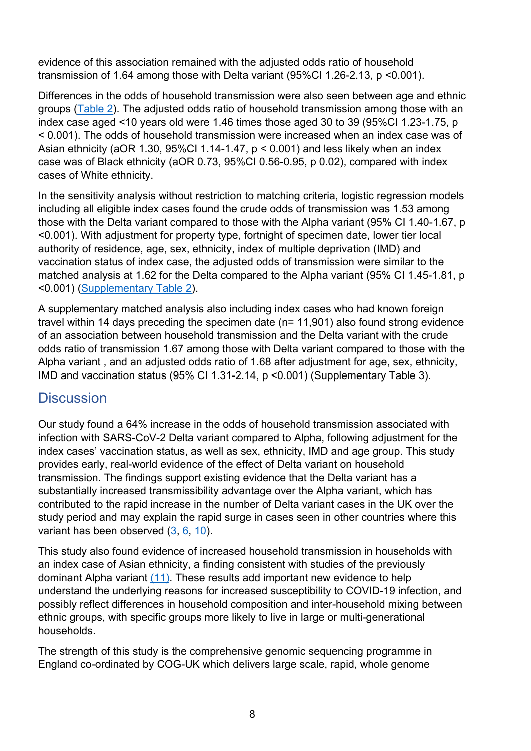evidence of this association remained with the adjusted odds ratio of household transmission of 1.64 among those with Delta variant (95%CI 1.26-2.13, p <0.001).

Differences in the odds of household transmission were also seen between age and ethnic groups [\(Table 2\)](#page-12-0). The adjusted odds ratio of household transmission among those with an index case aged <10 years old were 1.46 times those aged 30 to 39 (95%CI 1.23-1.75, p < 0.001). The odds of household transmission were increased when an index case was of Asian ethnicity (aOR 1.30, 95%CI 1.14-1.47, p < 0.001) and less likely when an index case was of Black ethnicity (aOR 0.73, 95%CI 0.56-0.95, p 0.02), compared with index cases of White ethnicity.

In the sensitivity analysis without restriction to matching criteria, logistic regression models including all eligible index cases found the crude odds of transmission was 1.53 among those with the Delta variant compared to those with the Alpha variant (95% CI 1.40-1.67, p <0.001). With adjustment for property type, fortnight of specimen date, lower tier local authority of residence, age, sex, ethnicity, index of multiple deprivation (IMD) and vaccination status of index case, the adjusted odds of transmission were similar to the matched analysis at 1.62 for the Delta compared to the Alpha variant (95% CI 1.45-1.81, p <0.001) [\(Supplementary Table 2\)](#page-16-0).

A supplementary matched analysis also including index cases who had known foreign travel within 14 days preceding the specimen date (n= 11,901) also found strong evidence of an association between household transmission and the Delta variant with the crude odds ratio of transmission 1.67 among those with Delta variant compared to those with the Alpha variant , and an adjusted odds ratio of 1.68 after adjustment for age, sex, ethnicity, IMD and vaccination status (95% CI 1.31-2.14, p <0.001) (Supplementary Table 3).

## **Discussion**

Our study found a 64% increase in the odds of household transmission associated with infection with SARS-CoV-2 Delta variant compared to Alpha, following adjustment for the index cases' vaccination status, as well as sex, ethnicity, IMD and age group. This study provides early, real-world evidence of the effect of Delta variant on household transmission. The findings support existing evidence that the Delta variant has a substantially increased transmissibility advantage over the Alpha variant, which has contributed to the rapid increase in the number of Delta variant cases in the UK over the study period and may explain the rapid surge in cases seen in other countries where this variant has been observed [\(3,](#page-20-2) [6,](#page-20-5) [10\)](#page-20-9).

This study also found evidence of increased household transmission in households with an index case of Asian ethnicity, a finding consistent with studies of the previously dominant Alpha variant [\(11\).](#page-20-10) These results add important new evidence to help understand the underlying reasons for increased susceptibility to COVID-19 infection, and possibly reflect differences in household composition and inter-household mixing between ethnic groups, with specific groups more likely to live in large or multi-generational households.

The strength of this study is the comprehensive genomic sequencing programme in England co-ordinated by COG-UK which delivers large scale, rapid, whole genome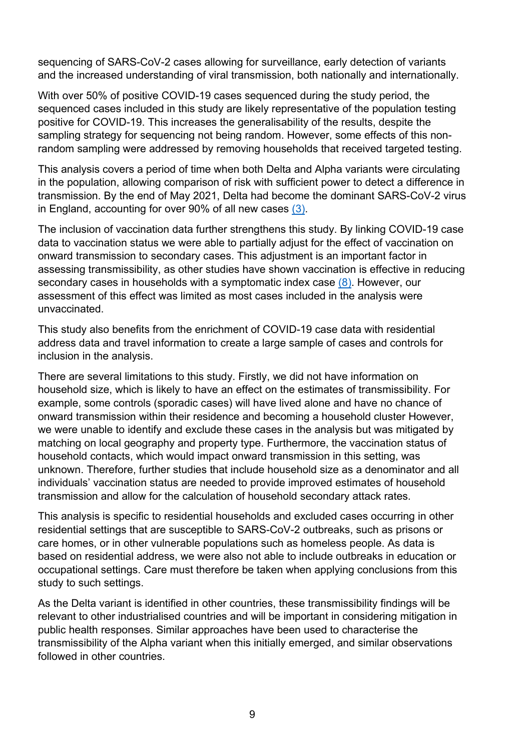sequencing of SARS-CoV-2 cases allowing for surveillance, early detection of variants and the increased understanding of viral transmission, both nationally and internationally.

With over 50% of positive COVID-19 cases sequenced during the study period, the sequenced cases included in this study are likely representative of the population testing positive for COVID-19. This increases the generalisability of the results, despite the sampling strategy for sequencing not being random. However, some effects of this nonrandom sampling were addressed by removing households that received targeted testing.

This analysis covers a period of time when both Delta and Alpha variants were circulating in the population, allowing comparison of risk with sufficient power to detect a difference in transmission. By the end of May 2021, Delta had become the dominant SARS-CoV-2 virus in England, accounting for over 90% of all new cases [\(3\).](#page-20-2)

The inclusion of vaccination data further strengthens this study. By linking COVID-19 case data to vaccination status we were able to partially adjust for the effect of vaccination on onward transmission to secondary cases. This adjustment is an important factor in assessing transmissibility, as other studies have shown vaccination is effective in reducing secondary cases in households with a symptomatic index case [\(8\)](#page-20-7). However, our assessment of this effect was limited as most cases included in the analysis were unvaccinated.

This study also benefits from the enrichment of COVID-19 case data with residential address data and travel information to create a large sample of cases and controls for inclusion in the analysis.

There are several limitations to this study. Firstly, we did not have information on household size, which is likely to have an effect on the estimates of transmissibility. For example, some controls (sporadic cases) will have lived alone and have no chance of onward transmission within their residence and becoming a household cluster However, we were unable to identify and exclude these cases in the analysis but was mitigated by matching on local geography and property type. Furthermore, the vaccination status of household contacts, which would impact onward transmission in this setting, was unknown. Therefore, further studies that include household size as a denominator and all individuals' vaccination status are needed to provide improved estimates of household transmission and allow for the calculation of household secondary attack rates.

This analysis is specific to residential households and excluded cases occurring in other residential settings that are susceptible to SARS-CoV-2 outbreaks, such as prisons or care homes, or in other vulnerable populations such as homeless people. As data is based on residential address, we were also not able to include outbreaks in education or occupational settings. Care must therefore be taken when applying conclusions from this study to such settings.

As the Delta variant is identified in other countries, these transmissibility findings will be relevant to other industrialised countries and will be important in considering mitigation in public health responses. Similar approaches have been used to characterise the transmissibility of the Alpha variant when this initially emerged, and similar observations followed in other countries.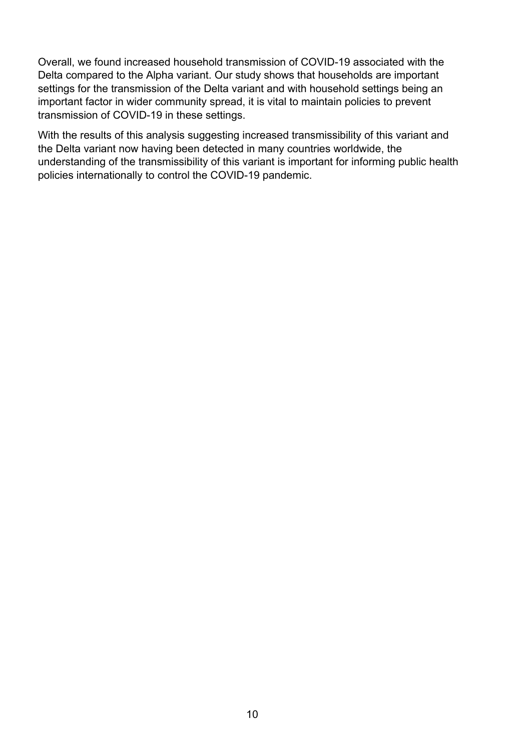Overall, we found increased household transmission of COVID-19 associated with the Delta compared to the Alpha variant. Our study shows that households are important settings for the transmission of the Delta variant and with household settings being an important factor in wider community spread, it is vital to maintain policies to prevent transmission of COVID-19 in these settings.

With the results of this analysis suggesting increased transmissibility of this variant and the Delta variant now having been detected in many countries worldwide, the understanding of the transmissibility of this variant is important for informing public health policies internationally to control the COVID-19 pandemic.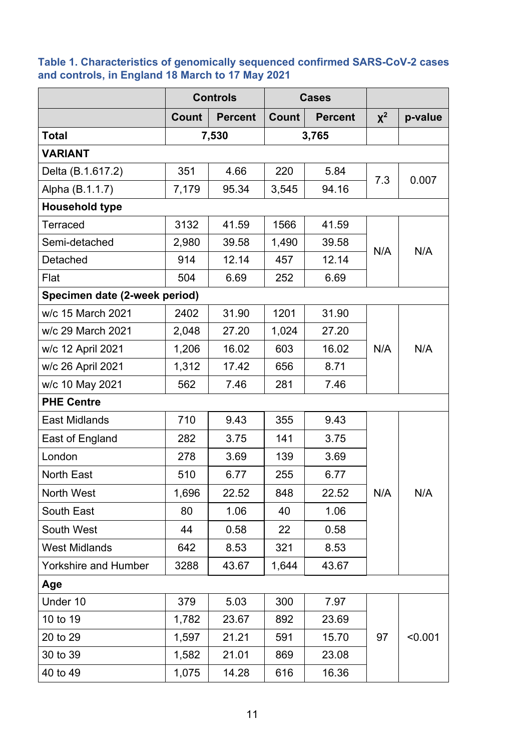#### <span id="page-10-0"></span>**Table 1. Characteristics of genomically sequenced confirmed SARS-CoV-2 cases and controls, in England 18 March to 17 May 2021**

|                               | <b>Controls</b> |                |       | <b>Cases</b>   |          |         |
|-------------------------------|-----------------|----------------|-------|----------------|----------|---------|
|                               | Count           | <b>Percent</b> | Count | <b>Percent</b> | $\chi^2$ | p-value |
| Total                         |                 | 7,530          |       | 3,765          |          |         |
| <b>VARIANT</b>                |                 |                |       |                |          |         |
| Delta (B.1.617.2)             | 351             | 4.66           | 220   | 5.84           | 7.3      |         |
| Alpha (B.1.1.7)               | 7,179           | 95.34          | 3,545 | 94.16          |          | 0.007   |
| <b>Household type</b>         |                 |                |       |                |          |         |
| <b>Terraced</b>               | 3132            | 41.59          | 1566  | 41.59          |          |         |
| Semi-detached                 | 2,980           | 39.58          | 1,490 | 39.58          | N/A      | N/A     |
| Detached                      | 914             | 12.14          | 457   | 12.14          |          |         |
| Flat                          | 504             | 6.69           | 252   | 6.69           |          |         |
| Specimen date (2-week period) |                 |                |       |                |          |         |
| w/c 15 March 2021             | 2402            | 31.90          | 1201  | 31.90          |          |         |
| w/c 29 March 2021             | 2,048           | 27.20          | 1,024 | 27.20          |          |         |
| w/c 12 April 2021             | 1,206           | 16.02          | 603   | 16.02          | N/A      | N/A     |
| w/c 26 April 2021             | 1,312           | 17.42          | 656   | 8.71           |          |         |
| w/c 10 May 2021               | 562             | 7.46           | 281   | 7.46           |          |         |
| <b>PHE Centre</b>             |                 |                |       |                |          |         |
| <b>East Midlands</b>          | 710             | 9.43           | 355   | 9.43           |          |         |
| East of England               | 282             | 3.75           | 141   | 3.75           |          |         |
| London                        | 278             | 3.69           | 139   | 3.69           |          |         |
| <b>North East</b>             | 510             | 6.77           | 255   | 6.77           |          |         |
| North West                    | 1,696           | 22.52          | 848   | 22.52          | N/A      | N/A     |
| South East                    | 80              | 1.06           | 40    | 1.06           |          |         |
| South West                    | 44              | 0.58           | 22    | 0.58           |          |         |
| <b>West Midlands</b>          | 642             | 8.53           | 321   | 8.53           |          |         |
| <b>Yorkshire and Humber</b>   | 3288            | 43.67          | 1,644 | 43.67          |          |         |
| Age                           |                 |                |       |                |          |         |
| Under 10                      | 379             | 5.03           | 300   | 7.97           |          |         |
| 10 to 19                      | 1,782           | 23.67          | 892   | 23.69          |          |         |
| 20 to 29                      | 1,597           | 21.21          | 591   | 15.70          | 97       | < 0.001 |
| 30 to 39                      | 1,582           | 21.01          | 869   | 23.08          |          |         |
| 40 to 49                      | 1,075           | 14.28          | 616   | 16.36          |          |         |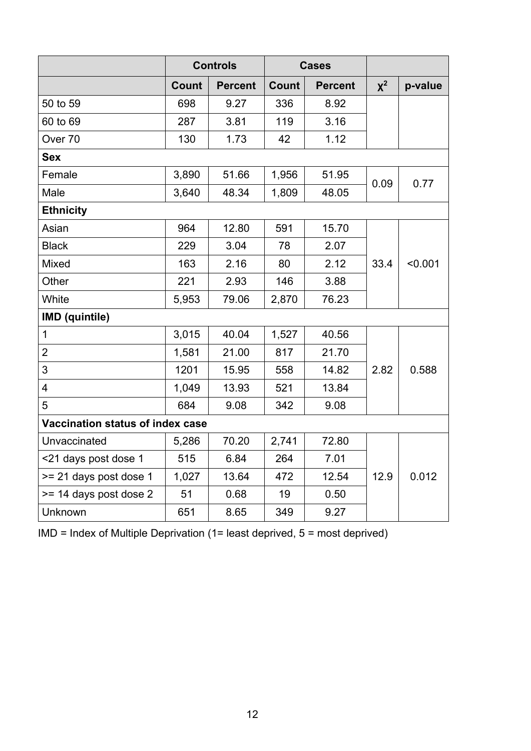|                                  | <b>Controls</b> |                | <b>Cases</b> |                |          |         |
|----------------------------------|-----------------|----------------|--------------|----------------|----------|---------|
|                                  | <b>Count</b>    | <b>Percent</b> | Count        | <b>Percent</b> | $\chi^2$ | p-value |
| 50 to 59                         | 698             | 9.27           | 336          | 8.92           |          |         |
| 60 to 69                         | 287             | 3.81           | 119          | 3.16           |          |         |
| Over <sub>70</sub>               | 130             | 1.73           | 42           | 1.12           |          |         |
| <b>Sex</b>                       |                 |                |              |                |          |         |
| Female                           | 3,890           | 51.66          | 1,956        | 51.95          | 0.09     | 0.77    |
| Male                             | 3,640           | 48.34          | 1,809        | 48.05          |          |         |
| <b>Ethnicity</b>                 |                 |                |              |                |          |         |
| Asian                            | 964             | 12.80          | 591          | 15.70          |          |         |
| <b>Black</b>                     | 229             | 3.04           | 78           | 2.07           |          |         |
| Mixed                            | 163             | 2.16           | 80           | 2.12           | 33.4     | < 0.001 |
| Other                            | 221             | 2.93           | 146          | 3.88           |          |         |
| White                            | 5,953           | 79.06          | 2,870        | 76.23          |          |         |
| <b>IMD</b> (quintile)            |                 |                |              |                |          |         |
| $\mathbf 1$                      | 3,015           | 40.04          | 1,527        | 40.56          |          |         |
| $\overline{2}$                   | 1,581           | 21.00          | 817          | 21.70          |          |         |
| 3                                | 1201            | 15.95          | 558          | 14.82          | 2.82     | 0.588   |
| $\overline{\mathbf{4}}$          | 1,049           | 13.93          | 521          | 13.84          |          |         |
| 5                                | 684             | 9.08           | 342          | 9.08           |          |         |
| Vaccination status of index case |                 |                |              |                |          |         |
| Unvaccinated                     | 5,286           | 70.20          | 2,741        | 72.80          |          |         |
| <21 days post dose 1             | 515             | 6.84           | 264          | 7.01           |          |         |
| >= 21 days post dose 1           | 1,027           | 13.64          | 472          | 12.54          | 12.9     | 0.012   |
| >= 14 days post dose 2           | 51              | 0.68           | 19           | 0.50           |          |         |
| Unknown                          | 651             | 8.65           | 349          | 9.27           |          |         |

IMD = Index of Multiple Deprivation (1= least deprived, 5 = most deprived)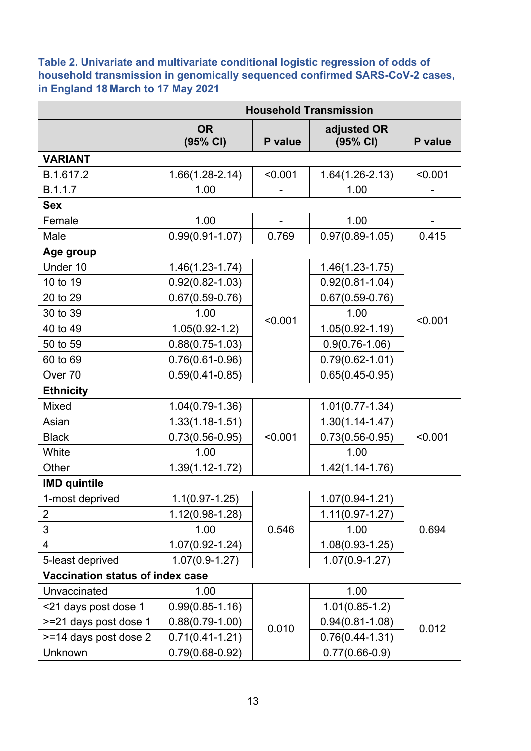<span id="page-12-0"></span>**Table 2. Univariate and multivariate conditional logistic regression of odds of household transmission in genomically sequenced confirmed SARS-CoV-2 cases, in England 18 March to 17 May 2021**

|                                  |                       |                   | <b>Household Transmission</b> |         |
|----------------------------------|-----------------------|-------------------|-------------------------------|---------|
|                                  | <b>OR</b><br>(95% CI) | P value           | adjusted OR<br>(95% CI)       | P value |
| <b>VARIANT</b>                   |                       |                   |                               |         |
| B.1.617.2                        | $1.66(1.28 - 2.14)$   | < 0.001           | $1.64(1.26-2.13)$             | < 0.001 |
| B.1.1.7                          | 1.00                  |                   | 1.00                          |         |
| <b>Sex</b>                       |                       |                   |                               |         |
| Female                           | 1.00                  |                   | 1.00                          |         |
| Male                             | $0.99(0.91 - 1.07)$   | 0.769             | $0.97(0.89 - 1.05)$           | 0.415   |
| Age group                        |                       |                   |                               |         |
| Under 10                         | $1.46(1.23 - 1.74)$   |                   | $1.46(1.23 - 1.75)$           |         |
| 10 to 19                         | $0.92(0.82 - 1.03)$   |                   | $0.92(0.81 - 1.04)$           |         |
| 20 to 29                         | $0.67(0.59 - 0.76)$   |                   | $0.67(0.59 - 0.76)$           |         |
| 30 to 39                         | 1.00                  | < 0.001           | 1.00                          | < 0.001 |
| 40 to 49                         | $1.05(0.92 - 1.2)$    |                   | $1.05(0.92 - 1.19)$           |         |
| 50 to 59                         | $0.88(0.75-1.03)$     |                   | $0.9(0.76 - 1.06)$            |         |
| 60 to 69                         | $0.76(0.61 - 0.96)$   |                   | $0.79(0.62 - 1.01)$           |         |
| Over 70                          | $0.59(0.41 - 0.85)$   | $0.65(0.45-0.95)$ |                               |         |
| <b>Ethnicity</b>                 |                       |                   |                               |         |
| <b>Mixed</b>                     | $1.04(0.79-1.36)$     |                   | $1.01(0.77 - 1.34)$           |         |
| Asian                            | $1.33(1.18 - 1.51)$   |                   | $1.30(1.14 - 1.47)$           |         |
| <b>Black</b>                     | $0.73(0.56 - 0.95)$   | < 0.001           | $0.73(0.56 - 0.95)$           | < 0.001 |
| White                            | 1.00                  |                   | 1.00                          |         |
| Other                            | $1.39(1.12 - 1.72)$   |                   | $1.42(1.14 - 1.76)$           |         |
| <b>IMD quintile</b>              |                       |                   |                               |         |
| 1-most deprived                  | $1.1(0.97 - 1.25)$    |                   | $1.07(0.94 - 1.21)$           |         |
| $\overline{2}$                   | $1.12(0.98 - 1.28)$   |                   | $1.11(0.97 - 1.27)$           |         |
| 3                                | 1.00                  | 0.546             | 1.00                          | 0.694   |
| $\overline{\mathcal{A}}$         | $1.07(0.92 - 1.24)$   |                   | $1.08(0.93 - 1.25)$           |         |
| 5-least deprived                 | $1.07(0.9-1.27)$      |                   | $1.07(0.9-1.27)$              |         |
| Vaccination status of index case |                       |                   |                               |         |
| Unvaccinated                     | 1.00                  |                   | 1.00                          |         |
| <21 days post dose 1             | $0.99(0.85 - 1.16)$   |                   | $1.01(0.85-1.2)$              |         |
| >=21 days post dose 1            | $0.88(0.79-1.00)$     | 0.010             | $0.94(0.81 - 1.08)$           | 0.012   |
| >=14 days post dose 2            | $0.71(0.41 - 1.21)$   |                   | $0.76(0.44 - 1.31)$           |         |
| Unknown                          | $0.79(0.68 - 0.92)$   |                   | $0.77(0.66-0.9)$              |         |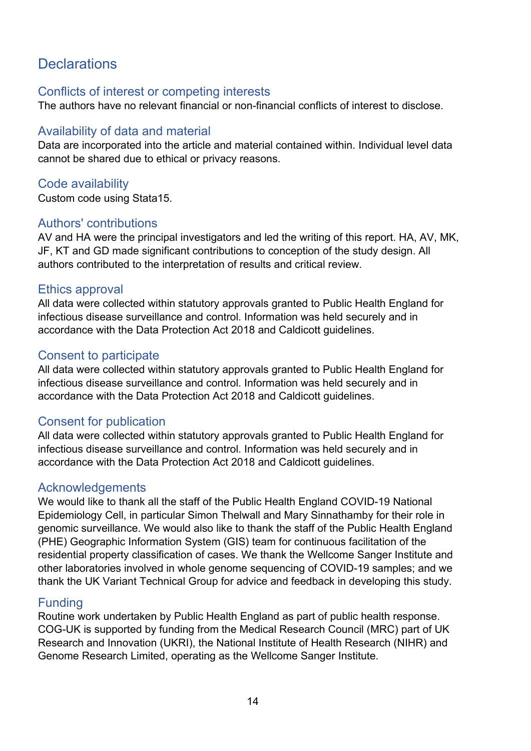# **Declarations**

#### Conflicts of interest or competing interests

The authors have no relevant financial or non-financial conflicts of interest to disclose.

### Availability of data and material

Data are incorporated into the article and material contained within. Individual level data cannot be shared due to ethical or privacy reasons.

### Code availability

Custom code using Stata15.

#### Authors' contributions

AV and HA were the principal investigators and led the writing of this report. HA, AV, MK, JF, KT and GD made significant contributions to conception of the study design. All authors contributed to the interpretation of results and critical review.

#### Ethics approval

All data were collected within statutory approvals granted to Public Health England for infectious disease surveillance and control. Information was held securely and in accordance with the Data Protection Act 2018 and Caldicott guidelines.

#### Consent to participate

All data were collected within statutory approvals granted to Public Health England for infectious disease surveillance and control. Information was held securely and in accordance with the Data Protection Act 2018 and Caldicott guidelines.

### Consent for publication

All data were collected within statutory approvals granted to Public Health England for infectious disease surveillance and control. Information was held securely and in accordance with the Data Protection Act 2018 and Caldicott guidelines.

#### Acknowledgements

We would like to thank all the staff of the Public Health England COVID-19 National Epidemiology Cell, in particular Simon Thelwall and Mary Sinnathamby for their role in genomic surveillance. We would also like to thank the staff of the Public Health England (PHE) Geographic Information System (GIS) team for continuous facilitation of the residential property classification of cases. We thank the Wellcome Sanger Institute and other laboratories involved in whole genome sequencing of COVID-19 samples; and we thank the UK Variant Technical Group for advice and feedback in developing this study.

#### **Funding**

Routine work undertaken by Public Health England as part of public health response. COG-UK is supported by funding from the Medical Research Council (MRC) part of UK Research and Innovation (UKRI), the National Institute of Health Research (NIHR) and Genome Research Limited, operating as the Wellcome Sanger Institute.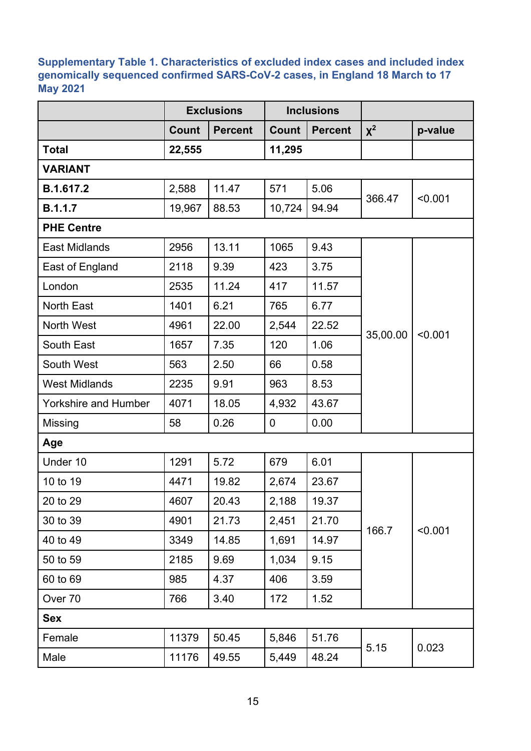#### <span id="page-14-0"></span>**Supplementary Table 1. Characteristics of excluded index cases and included index genomically sequenced confirmed SARS-CoV-2 cases, in England 18 March to 17 May 2021**

|                             |              | <b>Exclusions</b> | <b>Inclusions</b> |                |          |         |  |
|-----------------------------|--------------|-------------------|-------------------|----------------|----------|---------|--|
|                             | <b>Count</b> | <b>Percent</b>    | Count             | <b>Percent</b> | $\chi^2$ | p-value |  |
| <b>Total</b>                | 22,555       |                   | 11,295            |                |          |         |  |
| <b>VARIANT</b>              |              |                   |                   |                |          |         |  |
| B.1.617.2                   | 2,588        | 11.47             | 571               | 5.06           | 366.47   | < 0.001 |  |
| B.1.1.7                     | 19,967       | 88.53             | 10,724            | 94.94          |          |         |  |
| <b>PHE Centre</b>           |              |                   |                   |                |          |         |  |
| <b>East Midlands</b>        | 2956         | 13.11             | 1065              | 9.43           |          | < 0.001 |  |
| East of England             | 2118         | 9.39              | 423               | 3.75           |          |         |  |
| London                      | 2535         | 11.24             | 417               | 11.57          | 35,00.00 |         |  |
| <b>North East</b>           | 1401         | 6.21              | 765               | 6.77           |          |         |  |
| North West                  | 4961         | 22.00             | 2,544             | 22.52          |          |         |  |
| South East                  | 1657         | 7.35              | 120               | 1.06           |          |         |  |
| South West                  | 563          | 2.50              | 66                | 0.58           |          |         |  |
| <b>West Midlands</b>        | 2235         | 9.91              | 963               | 8.53           |          |         |  |
| <b>Yorkshire and Humber</b> | 4071         | 18.05             | 4,932             | 43.67          |          |         |  |
| Missing                     | 58           | 0.26              | $\mathbf 0$       | 0.00           |          |         |  |
| Age                         |              |                   |                   |                |          |         |  |
| Under 10                    | 1291         | 5.72              | 679               | 6.01           |          |         |  |
| 10 to 19                    | 4471         | 19.82             | 2,674             | 23.67          |          |         |  |
| 20 to 29                    | 4607         | 20.43             | 2,188             | 19.37          |          |         |  |
| 30 to 39                    | 4901         | 21.73             | 2,451             | 21.70          | 166.7    |         |  |
| 40 to 49                    | 3349         | 14.85             | 1,691             | 14.97          |          | < 0.001 |  |
| 50 to 59                    | 2185         | 9.69              | 1,034             | 9.15           |          |         |  |
| 60 to 69                    | 985          | 4.37              | 406               | 3.59           |          |         |  |
| Over 70                     | 766          | 3.40              | 172               | 1.52           |          |         |  |
| <b>Sex</b>                  |              |                   |                   |                |          |         |  |
| Female                      | 11379        | 50.45             | 5,846             | 51.76          |          |         |  |
| Male                        | 11176        | 49.55             | 5,449             | 48.24          | 5.15     | 0.023   |  |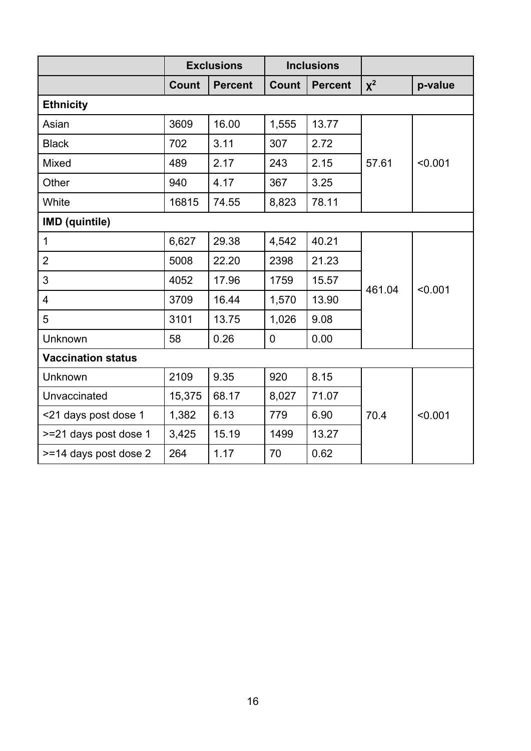|                           |              | <b>Exclusions</b> |             | <b>Inclusions</b> |        |         |
|---------------------------|--------------|-------------------|-------------|-------------------|--------|---------|
|                           | <b>Count</b> | <b>Percent</b>    | Count       | <b>Percent</b>    | $X^2$  | p-value |
| <b>Ethnicity</b>          |              |                   |             |                   |        |         |
| Asian                     | 3609         | 16.00             | 1,555       | 13.77             |        | < 0.001 |
| <b>Black</b>              | 702          | 3.11              | 307         | 2.72              |        |         |
| Mixed                     | 489          | 2.17              | 243         | 2.15              | 57.61  |         |
| Other                     | 940          | 4.17              | 367         | 3.25              |        |         |
| White                     | 16815        | 74.55             | 8,823       | 78.11             |        |         |
| <b>IMD</b> (quintile)     |              |                   |             |                   |        |         |
| $\mathbf{1}$              | 6,627        | 29.38             | 4,542       | 40.21             |        | < 0.001 |
| $\overline{2}$            | 5008         | 22.20             | 2398        | 21.23             |        |         |
| 3                         | 4052         | 17.96             | 1759        | 15.57             | 461.04 |         |
| $\overline{4}$            | 3709         | 16.44             | 1,570       | 13.90             |        |         |
| 5                         | 3101         | 13.75             | 1,026       | 9.08              |        |         |
| Unknown                   | 58           | 0.26              | $\mathbf 0$ | 0.00              |        |         |
| <b>Vaccination status</b> |              |                   |             |                   |        |         |
| Unknown                   | 2109         | 9.35              | 920         | 8.15              |        |         |
| Unvaccinated              | 15,375       | 68.17             | 8,027       | 71.07             | 70.4   |         |
| <21 days post dose 1      | 1,382        | 6.13              | 779         | 6.90              |        | < 0.001 |
| >=21 days post dose 1     | 3,425        | 15.19             | 1499        | 13.27             |        |         |
| >=14 days post dose 2     | 264          | 1.17              | 70          | 0.62              |        |         |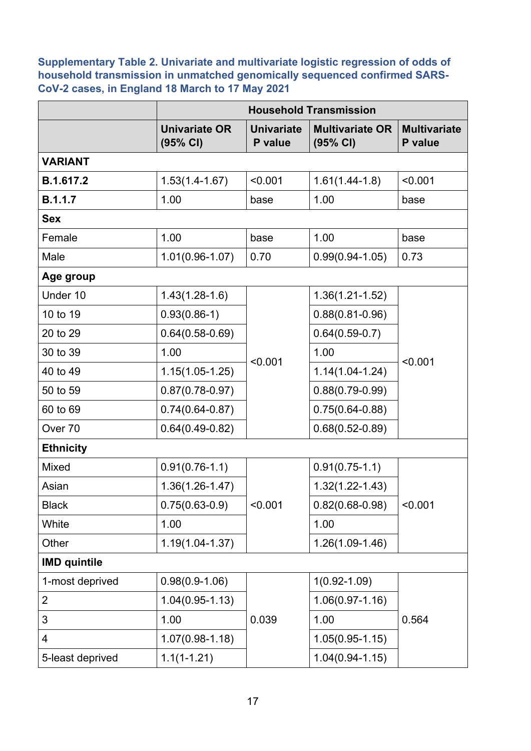<span id="page-16-0"></span>**Supplementary Table 2. Univariate and multivariate logistic regression of odds of household transmission in unmatched genomically sequenced confirmed SARS-CoV-2 cases, in England 18 March to 17 May 2021**

|                     |                                  | <b>Household Transmission</b> |                                    |                                |  |  |  |  |
|---------------------|----------------------------------|-------------------------------|------------------------------------|--------------------------------|--|--|--|--|
|                     | <b>Univariate OR</b><br>(95% CI) | <b>Univariate</b><br>P value  | <b>Multivariate OR</b><br>(95% CI) | <b>Multivariate</b><br>P value |  |  |  |  |
| <b>VARIANT</b>      |                                  |                               |                                    |                                |  |  |  |  |
| B.1.617.2           | $1.53(1.4 - 1.67)$               | < 0.001                       | $1.61(1.44-1.8)$                   | < 0.001                        |  |  |  |  |
| <b>B.1.1.7</b>      | 1.00                             | base                          | 1.00                               | base                           |  |  |  |  |
| <b>Sex</b>          |                                  |                               |                                    |                                |  |  |  |  |
| Female              | 1.00                             | base                          | 1.00                               | base                           |  |  |  |  |
| Male                | $1.01(0.96 - 1.07)$              | 0.70                          | $0.99(0.94 - 1.05)$                | 0.73                           |  |  |  |  |
| Age group           |                                  |                               |                                    |                                |  |  |  |  |
| Under 10            | $1.43(1.28-1.6)$                 |                               | $1.36(1.21 - 1.52)$                |                                |  |  |  |  |
| 10 to 19            | $0.93(0.86-1)$                   | < 0.001                       | $0.88(0.81 - 0.96)$                | < 0.001                        |  |  |  |  |
| 20 to 29            | $0.64(0.58 - 0.69)$              |                               | $0.64(0.59-0.7)$                   |                                |  |  |  |  |
| 30 to 39            | 1.00                             |                               | 1.00                               |                                |  |  |  |  |
| 40 to 49            | $1.15(1.05-1.25)$                |                               | $1.14(1.04 - 1.24)$                |                                |  |  |  |  |
| 50 to 59            | $0.87(0.78 - 0.97)$              |                               | $0.88(0.79 - 0.99)$                |                                |  |  |  |  |
| 60 to 69            | $0.74(0.64 - 0.87)$              |                               | $0.75(0.64 - 0.88)$                |                                |  |  |  |  |
| Over 70             | $0.64(0.49-0.82)$                |                               | $0.68(0.52 - 0.89)$                |                                |  |  |  |  |
| <b>Ethnicity</b>    |                                  |                               |                                    |                                |  |  |  |  |
| Mixed               | $0.91(0.76-1.1)$                 |                               | $0.91(0.75-1.1)$                   |                                |  |  |  |  |
| Asian               | $1.36(1.26 - 1.47)$              |                               | $1.32(1.22 - 1.43)$                |                                |  |  |  |  |
| <b>Black</b>        | $0.75(0.63-0.9)$                 | < 0.001                       | $0.82(0.68 - 0.98)$                | < 0.001                        |  |  |  |  |
| White               | 1.00                             |                               | 1.00                               |                                |  |  |  |  |
| Other               | $1.19(1.04 - 1.37)$              |                               | $1.26(1.09-1.46)$                  |                                |  |  |  |  |
| <b>IMD quintile</b> |                                  |                               |                                    |                                |  |  |  |  |
| 1-most deprived     | $0.98(0.9-1.06)$                 |                               | $1(0.92 - 1.09)$                   |                                |  |  |  |  |
| $\overline{2}$      | $1.04(0.95 - 1.13)$              |                               | $1.06(0.97 - 1.16)$                |                                |  |  |  |  |
| 3                   | 1.00                             | 0.039                         | 1.00                               | 0.564                          |  |  |  |  |
| 4                   | $1.07(0.98 - 1.18)$              |                               | $1.05(0.95 - 1.15)$                |                                |  |  |  |  |
| 5-least deprived    | $1.1(1-1.21)$                    |                               | $1.04(0.94 - 1.15)$                |                                |  |  |  |  |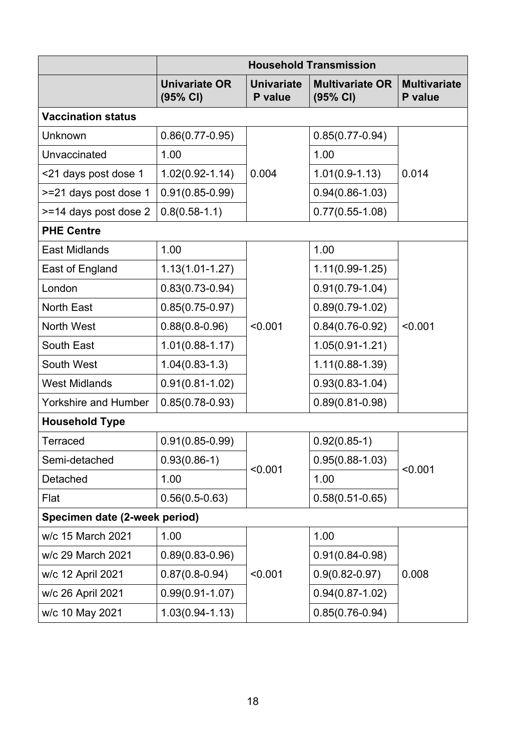|                               | <b>Household Transmission</b>    |                              |                                    |                                |  |  |  |
|-------------------------------|----------------------------------|------------------------------|------------------------------------|--------------------------------|--|--|--|
|                               | <b>Univariate OR</b><br>(95% CI) | <b>Univariate</b><br>P value | <b>Multivariate OR</b><br>(95% CI) | <b>Multivariate</b><br>P value |  |  |  |
| <b>Vaccination status</b>     |                                  |                              |                                    |                                |  |  |  |
| Unknown                       | $0.86(0.77 - 0.95)$              |                              | $0.85(0.77-0.94)$                  |                                |  |  |  |
| Unvaccinated                  | 1.00                             |                              | 1.00                               |                                |  |  |  |
| <21 days post dose 1          | $1.02(0.92 - 1.14)$              | 0.004                        | $1.01(0.9-1.13)$                   | 0.014                          |  |  |  |
| >=21 days post dose 1         | $0.91(0.85 - 0.99)$              |                              | $0.94(0.86 - 1.03)$                |                                |  |  |  |
| >=14 days post dose 2         | $0.8(0.58 - 1.1)$                |                              | $0.77(0.55-1.08)$                  |                                |  |  |  |
| <b>PHE Centre</b>             |                                  |                              |                                    |                                |  |  |  |
| <b>East Midlands</b>          | 1.00                             |                              | 1.00                               |                                |  |  |  |
| East of England               | $1.13(1.01 - 1.27)$              | < 0.001                      | $1.11(0.99-1.25)$                  | < 0.001                        |  |  |  |
| London                        | $0.83(0.73 - 0.94)$              |                              | $0.91(0.79-1.04)$                  |                                |  |  |  |
| <b>North East</b>             | $0.85(0.75-0.97)$                |                              | $0.89(0.79 - 1.02)$                |                                |  |  |  |
| <b>North West</b>             | $0.88(0.8-0.96)$                 |                              | $0.84(0.76-0.92)$                  |                                |  |  |  |
| South East                    | $1.01(0.88 - 1.17)$              |                              | $1.05(0.91 - 1.21)$                |                                |  |  |  |
| South West                    | $1.04(0.83-1.3)$                 |                              | $1.11(0.88 - 1.39)$                |                                |  |  |  |
| <b>West Midlands</b>          | $0.91(0.81 - 1.02)$              |                              | $0.93(0.83 - 1.04)$                |                                |  |  |  |
| <b>Yorkshire and Humber</b>   | $0.85(0.78-0.93)$                |                              | $0.89(0.81 - 0.98)$                |                                |  |  |  |
| <b>Household Type</b>         |                                  |                              |                                    |                                |  |  |  |
| Terraced                      | $0.91(0.85 - 0.99)$              |                              | $0.92(0.85-1)$                     |                                |  |  |  |
| Semi-detached                 | $0.93(0.86-1)$                   | < 0.001                      | $0.95(0.88 - 1.03)$                | < 0.001                        |  |  |  |
| Detached                      | 1.00                             |                              | 1.00                               |                                |  |  |  |
| Flat                          | $0.56(0.5-0.63)$                 |                              | $0.58(0.51 - 0.65)$                |                                |  |  |  |
| Specimen date (2-week period) |                                  |                              |                                    |                                |  |  |  |
| w/c 15 March 2021             | 1.00                             |                              | 1.00                               |                                |  |  |  |
| w/c 29 March 2021             | $0.89(0.83 - 0.96)$              |                              | $0.91(0.84 - 0.98)$                |                                |  |  |  |
| w/c 12 April 2021             | $0.87(0.8-0.94)$                 | < 0.001                      | $0.9(0.82 - 0.97)$                 | 0.008                          |  |  |  |
| w/c 26 April 2021             | $0.99(0.91 - 1.07)$              |                              | $0.94(0.87 - 1.02)$                |                                |  |  |  |
| w/c 10 May 2021               | $1.03(0.94 - 1.13)$              |                              | $0.85(0.76 - 0.94)$                |                                |  |  |  |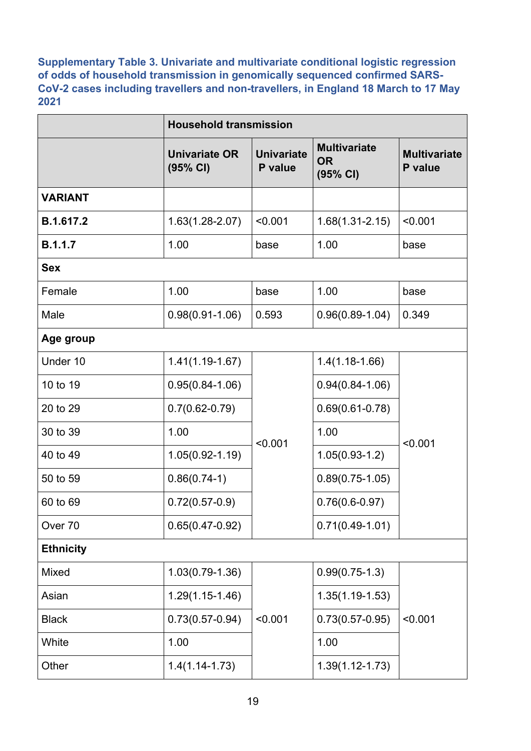**Supplementary Table 3. Univariate and multivariate conditional logistic regression of odds of household transmission in genomically sequenced confirmed SARS-CoV-2 cases including travellers and non-travellers, in England 18 March to 17 May 2021**

|                    | <b>Household transmission</b>    |                              |                                              |                                |  |  |
|--------------------|----------------------------------|------------------------------|----------------------------------------------|--------------------------------|--|--|
|                    | <b>Univariate OR</b><br>(95% CI) | <b>Univariate</b><br>P value | <b>Multivariate</b><br><b>OR</b><br>(95% CI) | <b>Multivariate</b><br>P value |  |  |
| <b>VARIANT</b>     |                                  |                              |                                              |                                |  |  |
| B.1.617.2          | $1.63(1.28 - 2.07)$              | < 0.001                      | $1.68(1.31 - 2.15)$                          | < 0.001                        |  |  |
| <b>B.1.1.7</b>     | 1.00                             | base                         | 1.00                                         | base                           |  |  |
| <b>Sex</b>         |                                  |                              |                                              |                                |  |  |
| Female             | 1.00                             | base                         | 1.00                                         | base                           |  |  |
| Male               | $0.98(0.91 - 1.06)$              | 0.593                        | $0.96(0.89 - 1.04)$                          | 0.349                          |  |  |
| Age group          |                                  |                              |                                              |                                |  |  |
| Under 10           | $1.41(1.19-1.67)$                |                              | $1.4(1.18-1.66)$                             | < 0.001                        |  |  |
| 10 to 19           | $0.95(0.84 - 1.06)$              |                              | $0.94(0.84 - 1.06)$                          |                                |  |  |
| 20 to 29           | $0.7(0.62 - 0.79)$               |                              | $0.69(0.61 - 0.78)$                          |                                |  |  |
| 30 to 39           | 1.00                             | < 0.001                      | 1.00                                         |                                |  |  |
| 40 to 49           | $1.05(0.92 - 1.19)$              |                              | $1.05(0.93-1.2)$                             |                                |  |  |
| 50 to 59           | $0.86(0.74-1)$                   |                              | $0.89(0.75-1.05)$                            |                                |  |  |
| 60 to 69           | $0.72(0.57-0.9)$                 |                              | $0.76(0.6-0.97)$                             |                                |  |  |
| Over <sub>70</sub> | $0.65(0.47-0.92)$                |                              | $0.71(0.49-1.01)$                            |                                |  |  |
| <b>Ethnicity</b>   |                                  |                              |                                              |                                |  |  |
| <b>Mixed</b>       | 1.03(0.79-1.36)                  |                              | $0.99(0.75-1.3)$                             |                                |  |  |
| Asian              | $1.29(1.15-1.46)$                |                              | $1.35(1.19-1.53)$                            | < 0.001                        |  |  |
| <b>Black</b>       | $0.73(0.57 - 0.94)$              | < 0.001                      | $0.73(0.57 - 0.95)$                          |                                |  |  |
| White              | 1.00                             |                              | 1.00                                         |                                |  |  |
| Other              | $1.4(1.14 - 1.73)$               |                              | $1.39(1.12 - 1.73)$                          |                                |  |  |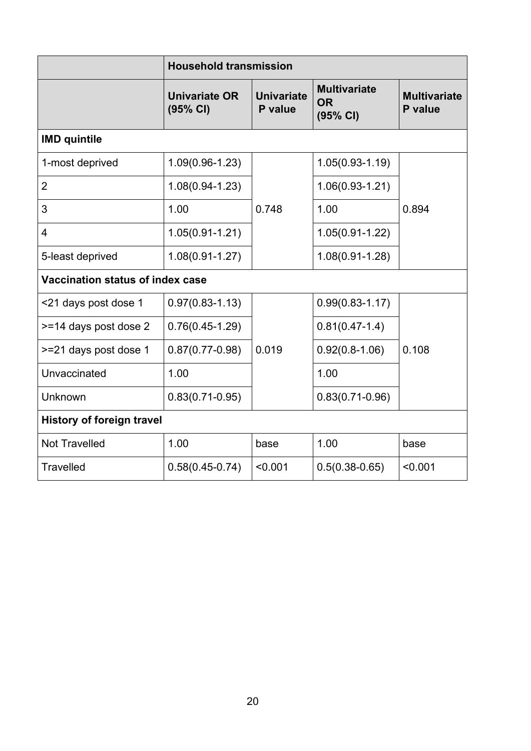|                                  | <b>Household transmission</b>    |                              |                                              |                                |  |  |  |
|----------------------------------|----------------------------------|------------------------------|----------------------------------------------|--------------------------------|--|--|--|
|                                  | <b>Univariate OR</b><br>(95% CI) | <b>Univariate</b><br>P value | <b>Multivariate</b><br><b>OR</b><br>(95% CI) | <b>Multivariate</b><br>P value |  |  |  |
| <b>IMD quintile</b>              |                                  |                              |                                              |                                |  |  |  |
| 1-most deprived                  | $1.09(0.96 - 1.23)$              |                              | $1.05(0.93 - 1.19)$                          | 0.894                          |  |  |  |
| $\overline{2}$                   | $1.08(0.94 - 1.23)$              | 0.748                        | $1.06(0.93 - 1.21)$                          |                                |  |  |  |
| 3                                | 1.00                             |                              | 1.00                                         |                                |  |  |  |
| $\overline{4}$                   | $1.05(0.91 - 1.21)$              |                              | $1.05(0.91 - 1.22)$                          |                                |  |  |  |
| 5-least deprived                 | $1.08(0.91 - 1.27)$              |                              | $1.08(0.91 - 1.28)$                          |                                |  |  |  |
| Vaccination status of index case |                                  |                              |                                              |                                |  |  |  |
| <21 days post dose 1             | $0.97(0.83 - 1.13)$              |                              | $0.99(0.83 - 1.17)$                          |                                |  |  |  |
| >=14 days post dose 2            | $0.76(0.45-1.29)$                |                              | $0.81(0.47-1.4)$                             | 0.108                          |  |  |  |
| >=21 days post dose 1            | $0.87(0.77 - 0.98)$              | 0.019                        | $0.92(0.8-1.06)$                             |                                |  |  |  |
| Unvaccinated                     | 1.00                             |                              | 1.00                                         |                                |  |  |  |
| Unknown                          | $0.83(0.71 - 0.95)$              |                              | $0.83(0.71 - 0.96)$                          |                                |  |  |  |
| <b>History of foreign travel</b> |                                  |                              |                                              |                                |  |  |  |
| <b>Not Travelled</b>             | 1.00                             | base                         | 1.00                                         | base                           |  |  |  |
| <b>Travelled</b>                 | $0.58(0.45 - 0.74)$              | < 0.001                      | $0.5(0.38 - 0.65)$                           | < 0.001                        |  |  |  |